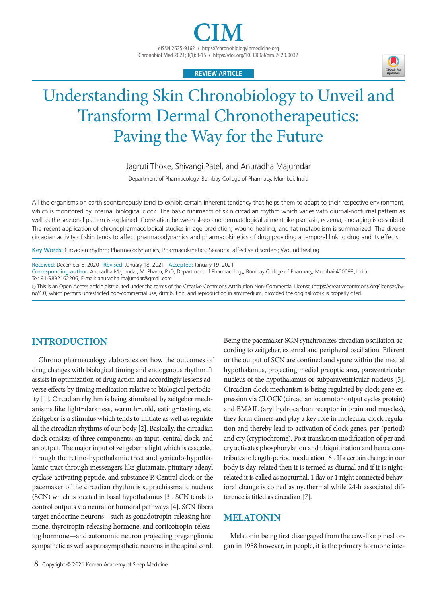

# **REVIEW ARTICLE**

# Understanding Skin Chronobiology to Unveil and Transform Dermal Chronotherapeutics: Paving the Way for the Future

Jagruti Thoke, Shivangi Patel, and Anuradha Majumdar

Department of Pharmacology, Bombay College of Pharmacy, Mumbai, India

All the organisms on earth spontaneously tend to exhibit certain inherent tendency that helps them to adapt to their respective environment, which is monitored by internal biological clock. The basic rudiments of skin circadian rhythm which varies with diurnal-nocturnal pattern as well as the seasonal pattern is explained. Correlation between sleep and dermatological ailment like psoriasis, eczema, and aging is described. The recent application of chronopharmacological studies in age prediction, wound healing, and fat metabolism is summarized. The diverse circadian activity of skin tends to affect pharmacodynamics and pharmacokinetics of drug providing a temporal link to drug and its effects.

Key Words: Circadian rhythm; Pharmacodynamics; Pharmacokinetics; Seasonal affective disorders; Wound healing

Received: December 6, 2020 Revised: January 18, 2021 Accepted: January 19, 2021 Corresponding author: Anuradha Majumdar, M. Pharm, PhD, Department of Pharmacology, Bombay College of Pharmacy, Mumbai-400098, India. Tel: 91-9892162206, E-mail: anuradha.majumdar@gmail.com

cc This is an Open Access article distributed under the terms of the Creative Commons Attribution Non-Commercial License (https://creativecommons.org/licenses/bync/4.0) which permits unrestricted non-commercial use, distribution, and reproduction in any medium, provided the original work is properly cited.

# **INTRODUCTION**

Chrono pharmacology elaborates on how the outcomes of drug changes with biological timing and endogenous rhythm. It assists in optimization of drug action and accordingly lessens adverse effects by timing medication relative to biological periodicity [1]. Circadian rhythm is being stimulated by zeitgeber mechanisms like light–darkness, warmth–cold, eating–fasting, etc. Zeitgeber is a stimulus which tends to initiate as well as regulate all the circadian rhythms of our body [2]. Basically, the circadian clock consists of three components: an input, central clock, and an output. The major input of zeitgeber is light which is cascaded through the retino-hypothalamic tract and geniculo-hypothalamic tract through messengers like glutamate, pituitary adenyl cyclase-activating peptide, and substance P. Central clock or the pacemaker of the circadian rhythm is suprachiasmatic nucleus (SCN) which is located in basal hypothalamus [3]. SCN tends to control outputs via neural or humoral pathways [4]. SCN fibers target endocrine neurons—such as gonadotropin-releasing hormone, thyrotropin-releasing hormone, and corticotropin-releasing hormone—and autonomic neuron projecting preganglionic sympathetic as well as parasympathetic neurons in the spinal cord.

Being the pacemaker SCN synchronizes circadian oscillation according to zeitgeber, external and peripheral oscillation. Efferent or the output of SCN are confined and spare within the medial hypothalamus, projecting medial preoptic area, paraventricular nucleus of the hypothalamus or subparaventricular nucleus [5]. Circadian clock mechanism is being regulated by clock gene expression via CLOCK (circadian locomotor output cycles protein) and BMAIL (aryl hydrocarbon receptor in brain and muscles), they form dimers and play a key role in molecular clock regulation and thereby lead to activation of clock genes, per (period) and cry (cryptochrome). Post translation modification of per and cry activates phosphorylation and ubiquitination and hence contributes to length-period modulation [6]. If a certain change in our body is day-related then it is termed as diurnal and if it is nightrelated it is called as nocturnal, 1 day or 1 night connected behavioral change is coined as nycthermal while 24-h associated difference is titled as circadian [7].

# **MELATONIN**

Melatonin being first disengaged from the cow-like pineal organ in 1958 however, in people, it is the primary hormone inte-

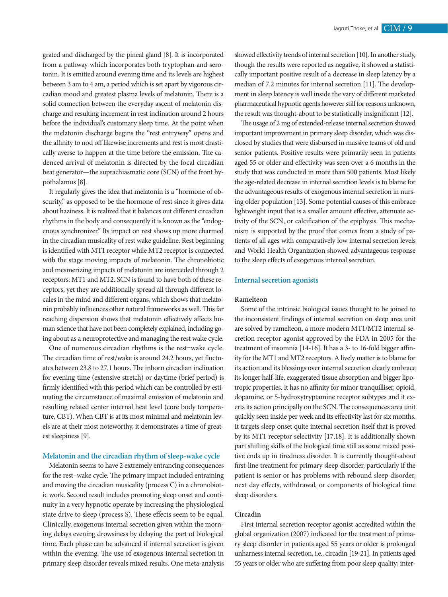grated and discharged by the pineal gland [8]. It is incorporated from a pathway which incorporates both tryptophan and serotonin. It is emitted around evening time and its levels are highest between 3 am to 4 am, a period which is set apart by vigorous circadian mood and greatest plasma levels of melatonin. There is a solid connection between the everyday ascent of melatonin discharge and resulting increment in rest inclination around 2 hours before the individual's customary sleep time. At the point when the melatonin discharge begins the "rest entryway" opens and the affinity to nod off likewise increments and rest is most drastically averse to happen at the time before the emission. The cadenced arrival of melatonin is directed by the focal circadian beat generator—the suprachiasmatic core (SCN) of the front hypothalamus [8].

It regularly gives the idea that melatonin is a "hormone of obscurity," as opposed to be the hormone of rest since it gives data about haziness. It is realized that it balances out different circadian rhythms in the body and consequently it is known as the "endogenous synchronizer." Its impact on rest shows up more charmed in the circadian musicality of rest wake guideline. Rest beginning is identified with MT1 receptor while MT2 receptor is connected with the stage moving impacts of melatonin. The chronobiotic and mesmerizing impacts of melatonin are interceded through 2 receptors: MT1 and MT2. SCN is found to have both of these receptors, yet they are additionally spread all through different locales in the mind and different organs, which shows that melatonin probably influences other natural frameworks as well. This far reaching dispersion shows that melatonin effectively affects human science that have not been completely explained, including going about as a neuroprotective and managing the rest wake cycle.

One of numerous circadian rhythms is the rest–wake cycle. The circadian time of rest/wake is around 24.2 hours, yet fluctuates between 23.8 to 27.1 hours. The inborn circadian inclination for evening time (extensive stretch) or daytime (brief period) is firmly identified with this period which can be controlled by estimating the circumstance of maximal emission of melatonin and resulting related center internal heat level (core body temperature, CBT). When CBT is at its most minimal and melatonin levels are at their most noteworthy, it demonstrates a time of greatest sleepiness [9].

## **Melatonin and the circadian rhythm of sleep-wake cycle**

Melatonin seems to have 2 extremely entrancing consequences for the rest–wake cycle. The primary impact included entraining and moving the circadian musicality (process C) in a chronobiotic work. Second result includes promoting sleep onset and continuity in a very hypnotic operate by increasing the physiological state drive to sleep (process S). These effects seem to be equal. Clinically, exogenous internal secretion given within the morning delays evening drowsiness by delaying the part of biological time. Each phase can be advanced if internal secretion is given within the evening. The use of exogenous internal secretion in primary sleep disorder reveals mixed results. One meta-analysis showed effectivity trends of internal secretion [10]. In another study, though the results were reported as negative, it showed a statistically important positive result of a decrease in sleep latency by a median of 7.2 minutes for internal secretion [11]. The development in sleep latency is well inside the vary of different marketed pharmaceutical hypnotic agents however still for reasons unknown, the result was thought-about to be statistically insignificant [12].

The usage of 2 mg of extended-release internal secretion showed important improvement in primary sleep disorder, which was disclosed by studies that were disbursed in massive teams of old and senior patients. Positive results were primarily seen in patients aged 55 or older and effectivity was seen over a 6 months in the study that was conducted in more than 500 patients. Most likely the age-related decrease in internal secretion levels is to blame for the advantageous results of exogenous internal secretion in nursing older population [13]. Some potential causes of this embrace lightweight input that is a smaller amount effective, attenuate activity of the SCN, or calcification of the epiphysis. This mechanism is supported by the proof that comes from a study of patients of all ages with comparatively low internal secretion levels and World Health Organization showed advantageous response to the sleep effects of exogenous internal secretion.

# **Internal secretion agonists**

# **Ramelteon**

Some of the intrinsic biological issues thought to be joined to the inconsistent findings of internal secretion on sleep area unit are solved by ramelteon, a more modern MT1/MT2 internal secretion receptor agonist approved by the FDA in 2005 for the treatment of insomnia [14-16]. It has a 3- to 16-fold bigger affinity for the MT1 and MT2 receptors. A lively matter is to blame for its action and its blessings over internal secretion clearly embrace its longer half-life, exaggerated tissue absorption and bigger lipotropic properties. It has no affinity for minor tranquilliser, opioid, dopamine, or 5-hydroxytryptamine receptor subtypes and it exerts its action principally on the SCN. The consequences area unit quickly seen inside per week and its effectivity last for six months. It targets sleep onset quite internal secretion itself that is proved by its MT1 receptor selectivity [17,18]. It is additionally shown part shifting skills of the biological time still as some mixed positive ends up in tiredness disorder. It is currently thought-about first-line treatment for primary sleep disorder, particularly if the patient is senior or has problems with rebound sleep disorder, next day effects, withdrawal, or components of biological time sleep disorders.

## **Circadin**

First internal secretion receptor agonist accredited within the global organization (2007) indicated for the treatment of primary sleep disorder in patients aged 55 years or older is prolonged unharness internal secretion, i.e., circadin [19-21]. In patients aged 55 years or older who are suffering from poor sleep quality; inter-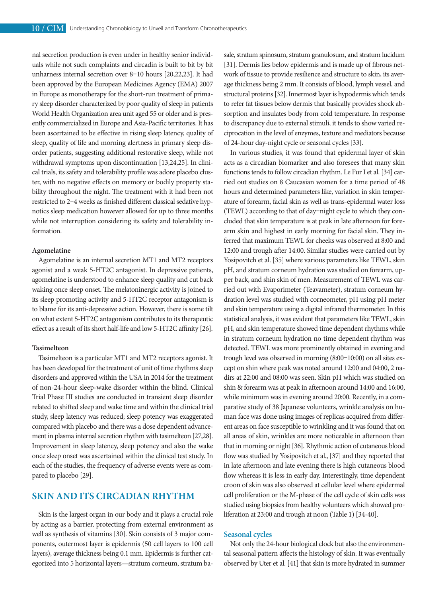nal secretion production is even under in healthy senior individuals while not such complaints and circadin is built to bit by bit unharness internal secretion over 8–10 hours [20,22,23]. It had been approved by the European Medicines Agency (EMA) 2007 in Europe as monotherapy for the short-run treatment of primary sleep disorder characterized by poor quality of sleep in patients World Health Organization area unit aged 55 or older and is presently commercialized in Europe and Asia-Pacific territories. It has been ascertained to be effective in rising sleep latency, quality of sleep, quality of life and morning alertness in primary sleep disorder patients, suggesting additional restorative sleep, while not withdrawal symptoms upon discontinuation [13,24,25]. In clinical trials, its safety and tolerability profile was adore placebo cluster, with no negative effects on memory or bodily property stability throughout the night. The treatment with it had been not restricted to 2–4 weeks as finished different classical sedative hypnotics sleep medication however allowed for up to three months while not interruption considering its safety and tolerability information.

# **Agomelatine**

Agomelatine is an internal secretion MT1 and MT2 receptors agonist and a weak 5-HT2C antagonist. In depressive patients, agomelatine is understood to enhance sleep quality and cut back waking once sleep onset. The melatoninergic activity is joined to its sleep promoting activity and 5-HT2C receptor antagonism is to blame for its anti-depressive action. However, there is some tilt on what extent 5-HT2C antagonism contributes to its therapeutic effect as a result of its short half-life and low 5-HT2C affinity [26].

# **Tasimelteon**

Tasimelteon is a particular MT1 and MT2 receptors agonist. It has been developed for the treatment of unit of time rhythms sleep disorders and approved within the USA in 2014 for the treatment of non-24-hour sleep-wake disorder within the blind. Clinical Trial Phase III studies are conducted in transient sleep disorder related to shifted sleep and wake time and within the clinical trial study, sleep latency was reduced; sleep potency was exaggerated compared with placebo and there was a dose dependent advancement in plasma internal secretion rhythm with tasimelteon [27,28]. Improvement in sleep latency, sleep potency and also the wake once sleep onset was ascertained within the clinical test study. In each of the studies, the frequency of adverse events were as compared to placebo [29].

# **SKIN AND ITS CIRCADIAN RHYTHM**

Skin is the largest organ in our body and it plays a crucial role by acting as a barrier, protecting from external environment as well as synthesis of vitamins [30]. Skin consists of 3 major components, outermost layer is epidermis (50 cell layers to 100 cell layers), average thickness being 0.1 mm. Epidermis is further categorized into 5 horizontal layers—stratum corneum, stratum basale, stratum spinosum, stratum granulosum, and stratum lucidum [31]. Dermis lies below epidermis and is made up of fibrous network of tissue to provide resilience and structure to skin, its average thickness being 2 mm. It consists of blood, lymph vessel, and structural proteins [32]. Innermost layer is hypodermis which tends to refer fat tissues below dermis that basically provides shock absorption and insulates body from cold temperature. In response to discrepancy due to external stimuli, it tends to show varied reciprocation in the level of enzymes, texture and mediators because of 24-hour day-night cycle or seasonal cycles [33].

In various studies, it was found that epidermal layer of skin acts as a circadian biomarker and also foresees that many skin functions tends to follow circadian rhythm. Le Fur I et al. [34] carried out studies on 8 Caucasian women for a time period of 48 hours and determined parameters like, variation in skin temperature of forearm, facial skin as well as trans-epidermal water loss (TEWL) according to that of day–night cycle to which they concluded that skin temperature is at peak in late afternoon for forearm skin and highest in early morning for facial skin. They inferred that maximum TEWL for cheeks was observed at 8:00 and 12:00 and trough after 14:00. Similar studies were carried out by Yosipovitch et al. [35] where various parameters like TEWL, skin pH, and stratum corneum hydration was studied on forearm, upper back, and shin skin of men. Measurement of TEWL was carried out with Evaporimeter (Teavameter), stratum corneum hydration level was studied with corneometer, pH using pH meter and skin temperature using a digital infrared thermometer. In this statistical analysis, it was evident that parameters like TEWL, skin pH, and skin temperature showed time dependent rhythms while in stratum corneum hydration no time dependent rhythm was detected. TEWL was more prominently obtained in evening and trough level was observed in morning (8:00–10:00) on all sites except on shin where peak was noted around 12:00 and 04:00, 2 nadirs at 22:00 and 08:00 was seen. Skin pH which was studied on shin & forearm was at peak in afternoon around 14:00 and 16:00, while minimum was in evening around 20:00. Recently, in a comparative study of 38 Japanese volunteers, wrinkle analysis on human face was done using images of replicas acquired from different areas on face susceptible to wrinkling and it was found that on all areas of skin, wrinkles are more noticeable in afternoon than that in morning or night [36]. Rhythmic action of cutaneous blood flow was studied by Yosipovitch et al., [37] and they reported that in late afternoon and late evening there is high cutaneous blood flow whereas it is less in early day. Interestingly, time dependent croon of skin was also observed at cellular level where epidermal cell proliferation or the M-phase of the cell cycle of skin cells was studied using biopsies from healthy volunteers which showed proliferation at 23:00 and trough at noon (Table 1) [34-40].

# **Seasonal cycles**

Not only the 24-hour biological clock but also the environmental seasonal pattern affects the histology of skin. It was eventually observed by Uter et al. [41] that skin is more hydrated in summer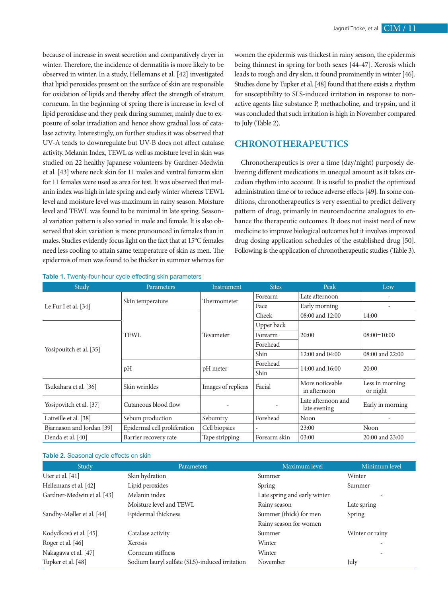because of increase in sweat secretion and comparatively dryer in winter. Therefore, the incidence of dermatitis is more likely to be observed in winter. In a study, Hellemans et al. [42] investigated that lipid peroxides present on the surface of skin are responsible for oxidation of lipids and thereby affect the strength of stratum corneum. In the beginning of spring there is increase in level of lipid peroxidase and they peak during summer, mainly due to exposure of solar irradiation and hence show gradual loss of catalase activity. Interestingly, on further studies it was observed that UV-A tends to downregulate but UV-B does not affect catalase activity. Melanin Index, TEWL as well as moisture level in skin was studied on 22 healthy Japanese volunteers by Gardner-Medwin et al. [43] where neck skin for 11 males and ventral forearm skin for 11 females were used as area for test. It was observed that melanin index was high in late spring and early winter whereas TEWL level and moisture level was maximum in rainy season. Moisture level and TEWL was found to be minimal in late spring. Seasonal variation pattern is also varied in male and female. It is also observed that skin variation is more pronounced in females than in males. Studies evidently focus light on the fact that at 15°C females need less cooling to attain same temperature of skin as men. The epidermis of men was found to be thicker in summer whereas for

**Table 1.** Twenty-four-hour cycle effecting skin parameters

women the epidermis was thickest in rainy season, the epidermis being thinnest in spring for both sexes [44-47]. Xerosis which leads to rough and dry skin, it found prominently in winter [46]. Studies done by Tupker et al. [48] found that there exists a rhythm for susceptibility to SLS-induced irritation in response to nonactive agents like substance P, methacholine, and trypsin, and it was concluded that such irritation is high in November compared to July (Table 2).

# **CHRONOTHERAPEUTICS**

Chronotherapeutics is over a time (day/night) purposely delivering different medications in unequal amount as it takes circadian rhythm into account. It is useful to predict the optimized administration time or to reduce adverse effects [49]. In some conditions, chronotherapeutics is very essential to predict delivery pattern of drug, primarily in neuroendocrine analogues to enhance the therapeutic outcomes. It does not insist need of new medicine to improve biological outcomes but it involves improved drug dosing application schedules of the established drug [50]. Following is the application of chronotherapeutic studies (Table 3).

| Study                     | Parameters                   | Instrument         | <b>Sites</b> | Peak                               | Low                         |
|---------------------------|------------------------------|--------------------|--------------|------------------------------------|-----------------------------|
| Le Fur I et al. $[34]$    | Skin temperature             | Thermometer        | Forearm      | Late afternoon                     |                             |
|                           |                              |                    | Face         | Early morning                      |                             |
|                           | <b>TEWL</b>                  | Tevameter          | Cheek        | 08:00 and 12:00                    | 14:00                       |
| Yosipouitch et al. [35]   |                              |                    | Upper back   |                                    | $08:00-10:00$               |
|                           |                              |                    | Forearm      | 20:00                              |                             |
|                           |                              |                    | Forehead     |                                    |                             |
|                           |                              |                    | Shin         | 12:00 and 04:00                    | 08:00 and 22:00             |
|                           | pH                           | pH meter           | Forehead     | 14:00 and 16:00                    | 20:00                       |
|                           |                              |                    | Shin         |                                    |                             |
| Tsukahara et al. [36]     | Skin wrinkles                | Images of replicas | Facial       | More noticeable<br>in afternoon    | Less in morning<br>or night |
| Yosipovitch et al. [37]   | Cutaneous blood flow         |                    |              | Late afternoon and<br>late evening | Early in morning            |
| Latreille et al. [38]     | Sebum production             | Sebumtry           | Forehead     | Noon                               |                             |
| Bjarnason and Jordan [39] | Epidermal cell proliferation | Cell biopsies      |              | 23:00                              | Noon                        |
| Denda et al. [40]         | Barrier recovery rate        | Tape stripping     | Forearm skin | 03:00                              | 20:00 and 23:00             |

#### **Table 2.** Seasonal cycle effects on skin

| Study                      | Parameters                                     | Maximum level                | Minimum level            |
|----------------------------|------------------------------------------------|------------------------------|--------------------------|
| Uter et al. $[41]$         | Skin hydration                                 | Summer                       | Winter                   |
| Hellemans et al. [42]      | Lipid peroxides                                | Spring                       | Summer                   |
| Gardner-Medwin et al. [43] | Melanin index                                  | Late spring and early winter |                          |
|                            | Moisture level and TEWL                        | Rainy season                 | Late spring              |
| Sandby-Møller et al. [44]  | Epidermal thickness                            | Summer (thick) for men       | Spring                   |
|                            |                                                | Rainy season for women       |                          |
| Kodydková et al. [45]      | Catalase activity                              | Summer                       | Winter or rainy          |
| Roger et al. [46]          | Xerosis                                        | Winter                       | $\overline{\phantom{a}}$ |
| Nakagawa et al. [47]       | Corneum stiffness                              | Winter                       |                          |
| Tupker et al. [48]         | Sodium lauryl sulfate (SLS)-induced irritation | November                     | July                     |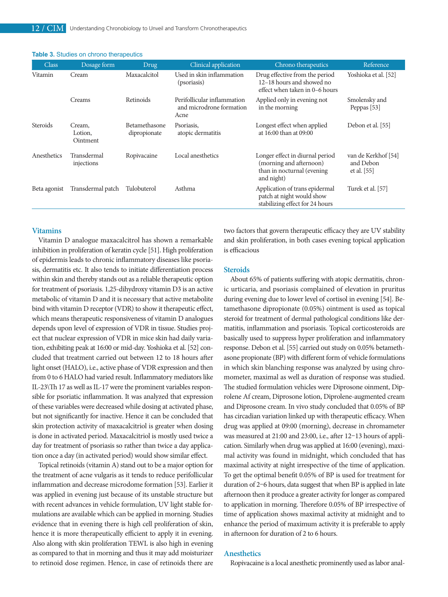| <b>Class</b> | Dosage form                   | Drug.                                | Clinical application                                            | Chrono therapeutics                                                                                     | Reference                                         |
|--------------|-------------------------------|--------------------------------------|-----------------------------------------------------------------|---------------------------------------------------------------------------------------------------------|---------------------------------------------------|
| Vitamin      | Cream                         | Maxacalcitol                         | Used in skin inflammation<br>(psoriasis)                        | Drug effective from the period<br>12-18 hours and showed no<br>effect when taken in 0–6 hours           | Yoshioka et al. [52]                              |
|              | Creams                        | Retinoids                            | Perifollicular inflammation<br>and microdrone formation<br>Acne | Applied only in evening not<br>in the morning                                                           | Smolensky and<br>Peppas [53]                      |
| Steroids     | Cream,<br>Lotion,<br>Ointment | <b>Betamethasone</b><br>dipropionate | Psoriasis.<br>atopic dermatitis                                 | Longest effect when applied<br>at 16:00 than at 09:00                                                   | Debon et al. [55]                                 |
| Anesthetics  | Transdermal<br>injections     | Ropivacaine                          | Local anesthetics                                               | Longer effect in diurnal period<br>(morning and afternoon)<br>than in nocturnal (evening)<br>and night) | van de Kerkhof [54]<br>and Debon<br>et al. $[55]$ |
| Beta agonist | Transdermal patch             | Tulobuterol                          | Asthma                                                          | Application of trans epidermal<br>patch at night would show<br>stabilizing effect for 24 hours          | Turek et al. [57]                                 |

## **Table 3.** Studies on chrono therapeutics

# **Vitamins**

Vitamin D analogue maxacalcitrol has shown a remarkable inhibition in proliferation of keratin cycle [51]. High proliferation of epidermis leads to chronic inflammatory diseases like psoriasis, dermatitis etc. It also tends to initiate differentiation process within skin and thereby stands out as a reliable therapeutic option for treatment of psoriasis. 1,25-dihydroxy vitamin D3 is an active metabolic of vitamin D and it is necessary that active metabolite bind with vitamin D receptor (VDR) to show it therapeutic effect, which means therapeutic responsiveness of vitamin D analogues depends upon level of expression of VDR in tissue. Studies project that nuclear expression of VDR in mice skin had daily variation, exhibiting peak at 16:00 or mid-day. Yoshioka et al. [52] concluded that treatment carried out between 12 to 18 hours after light onset (HALO), i.e., active phase of VDR expression and then from 0 to 6 HALO had varied result. Inflammatory mediators like IL-23\Th 17 as well as IL-17 were the prominent variables responsible for psoriatic inflammation. It was analyzed that expression of these variables were decreased while dosing at activated phase, but not significantly for inactive. Hence it can be concluded that skin protection activity of maxacalcitriol is greater when dosing is done in activated period. Maxacalcitriol is mostly used twice a day for treatment of psoriasis so rather than twice a day application once a day (in activated period) would show similar effect.

Topical retinoids (vitamin A) stand out to be a major option for the treatment of acne vulgaris as it tends to reduce perifollicular inflammation and decrease microdome formation [53]. Earlier it was applied in evening just because of its unstable structure but with recent advances in vehicle formulation, UV light stable formulations are available which can be applied in morning. Studies evidence that in evening there is high cell proliferation of skin, hence it is more therapeutically efficient to apply it in evening. Also along with skin proliferation TEWL is also high in evening as compared to that in morning and thus it may add moisturizer to retinoid dose regimen. Hence, in case of retinoids there are

two factors that govern therapeutic efficacy they are UV stability and skin proliferation, in both cases evening topical application is efficacious

# **Steroids**

About 65% of patients suffering with atopic dermatitis, chronic urticaria, and psoriasis complained of elevation in pruritus during evening due to lower level of cortisol in evening [54]. Betamethasone dipropionate (0.05%) ointment is used as topical steroid for treatment of dermal pathological conditions like dermatitis, inflammation and psoriasis. Topical corticosteroids are basically used to suppress hyper proliferation and inflammatory response. Debon et al. [55] carried out study on 0.05% betamethasone propionate (BP) with different form of vehicle formulations in which skin blanching response was analyzed by using chromometer, maximal as well as duration of response was studied. The studied formulation vehicles were Diprosone oinment, Diprolene Af cream, Diprosone lotion, Diprolene-augmented cream and Diprosone cream. In vivo study concluded that 0.05% of BP has circadian variation linked up with therapeutic efficacy. When drug was applied at 09:00 (morning), decrease in chromameter was measured at 21:00 and 23:00, i.e., after 12–13 hours of application. Similarly when drug was applied at 16:00 (evening), maximal activity was found in midnight, which concluded that has maximal activity at night irrespective of the time of application. To get the optimal benefit 0.05% of BP is used for treatment for duration of 2–6 hours, data suggest that when BP is applied in late afternoon then it produce a greater activity for longer as compared to application in morning. Therefore 0.05% of BP irrespective of time of application shows maximal activity at midnight and to enhance the period of maximum activity it is preferable to apply in afternoon for duration of 2 to 6 hours.

# **Anesthetics**

Ropivacaine is a local anesthetic prominently used as labor anal-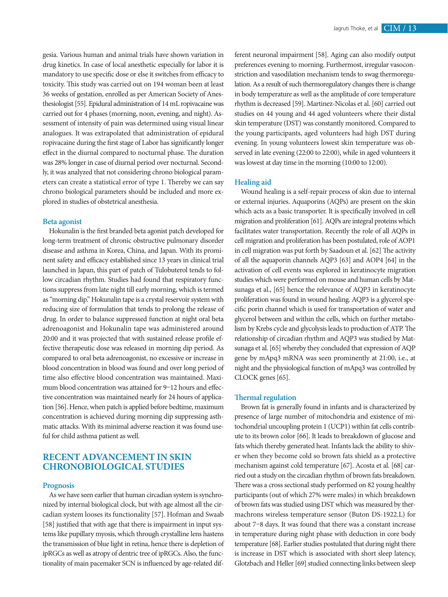gesia. Various human and animal trials have shown variation in drug kinetics. In case of local anesthetic especially for labor it is mandatory to use specific dose or else it switches from efficacy to toxicity. This study was carried out on 194 woman been at least 36 weeks of gestation, enrolled as per American Society of Anesthesiologist [55]. Epidural administration of 14 mL ropivacaine was carried out for 4 phases (morning, noon, evening, and night). Assessment of intensity of pain was determined using visual linear analogues. It was extrapolated that administration of epidural ropivacaine during the first stage of Labor has significantly longer effect in the diurnal compared to nocturnal phase. The duration was 28% longer in case of diurnal period over nocturnal. Secondly, it was analyzed that not considering chrono biological parameters can create a statistical error of type 1. Thereby we can say chrono biological parameters should be included and more explored in studies of obstetrical anesthesia.

#### **Beta agonist**

Hokunalin is the first branded beta agonist patch developed for long-term treatment of chronic obstructive pulmonary disorder disease and asthma in Korea, China, and Japan. With its prominent safety and efficacy established since 13 years in clinical trial launched in Japan, this part of patch of Tulobuterol tends to follow circadian rhythm. Studies had found that respiratory functions suppress from late night till early morning, which is termed as "morning dip." Hokunalin tape is a crystal reservoir system with reducing size of formulation that tends to prolong the release of drug. In order to balance suppressed function at night oral beta adrenoagonist and Hokunalin tape was administered around 20:00 and it was projected that with sustained release profile effective therapeutic dose was released in morning dip period. As compared to oral beta adrenoagonist, no excessive or increase in blood concentration in blood was found and over long period of time also effective blood concentration was maintained. Maximum blood concentration was attained for 9–12 hours and effective concentration was maintained nearly for 24 hours of application [56]. Hence, when patch is applied before bedtime, maximum concentration is achieved during morning dip suppressing asthmatic attacks. With its minimal adverse reaction it was found useful for child asthma patient as well.

# **RECENT ADVANCEMENT IN SKIN CHRONOBIOLOGICAL STUDIES**

# **Prognosis**

As we have seen earlier that human circadian system is synchronized by internal biological clock, but with age almost all the circadian system looses its functionality [57]. Hofman and Swaab [58] justified that with age that there is impairment in input systems like pupillary myosis, which through crystalline lens hastens the transmission of blue light in retina, hence there is depletion of ipRGCs as well as atropy of dentric tree of ipRGCs. Also, the functionality of main pacemaker SCN is influenced by age-related different neuronal impairment [58]. Aging can also modify output preferences evening to morning. Furthermost, irregular vasoconstriction and vasodilation mechanism tends to swag thermoregulation. As a result of such thermoregulatory changes there is change in body temperature as well as the amplitude of core temperature rhythm is decreased [59]. Martinez-Nicolas et al. [60] carried out studies on 44 young and 44 aged volunteers where their distal skin temperature (DST) was constantly monitored. Compared to the young participants, aged volunteers had high DST during evening. In young volunteers lowest skin temperature was observed in late evening (22:00 to 22:00), while in aged volunteers it was lowest at day time in the morning (10:00 to 12:00).

# **Healing aid**

Wound healing is a self-repair process of skin due to internal or external injuries. Aquaporins (AQPs) are present on the skin which acts as a basic transporter. It is specifically involved in cell migration and proliferation [61]. AQPs are integral proteins which facilitates water transportation. Recently the role of all AQPs in cell migration and proliferation has been postulated, role of AOP1 in cell migration was put forth by Saadoun et al. [62] The activity of all the aquaporin channels AQP3 [63] and AOP4 [64] in the activation of cell events was explored in keratinocyte migration studies which were performed on mouse and human cells by Matsunaga et al., [65] hence the relevance of AQP3 in keratinocyte proliferation was found in wound healing. AQP3 is a glycerol specific porin channel which is used for transportation of water and glycerol between and within the cells, which on further metabolism by Krebs cycle and glycolysis leads to production of ATP. The relationship of circadian rhythm and AQP3 was studied by Matsunaga et al. [65] whereby they concluded that expression of AQP gene by mApq3 mRNA was seen prominently at 21:00, i.e., at night and the physiological function of mApq3 was controlled by CLOCK genes [65].

#### **Thermal regulation**

Brown fat is generally found in infants and is characterized by presence of large number of mitochondria and existence of mitochondrial uncoupling protein 1 (UCP1) within fat cells contribute to its brown color [66]. It leads to breakdown of glucose and fats which thereby generated heat. Infants lack the ability to shiver when they become cold so brown fats shield as a protective mechanism against cold temperature [67]. Acosta et al. [68] carried out a study on the circadian rhythm of brown fats breakdown. There was a cross sectional study performed on 82 young healthy participants (out of which 27% were males) in which breakdown of brown fats was studied using DST which was measured by thermachrons wireless temperature sensor (Buton DS-1922.L) for about 7–8 days. It was found that there was a constant increase in temperature during night phase with deduction in core body temperature [68]. Earlier studies postulated that during night there is increase in DST which is associated with short sleep latency, Glotzbach and Heller [69] studied connecting links between sleep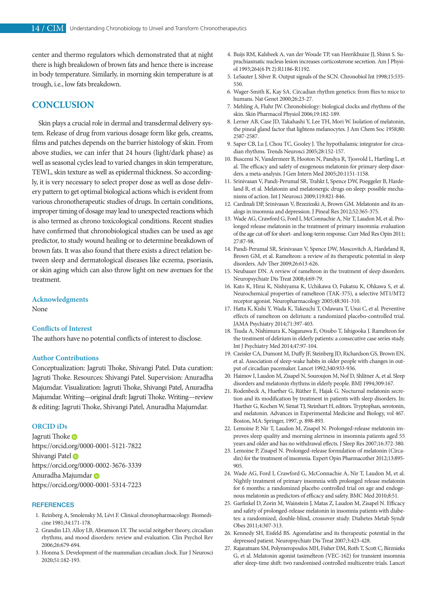center and thermo regulators which demonstrated that at night there is high breakdown of brown fats and hence there is increase in body temperature. Similarly, in morning skin temperature is at trough, i.e., low fats breakdown.

# **CONCLUSION**

Skin plays a crucial role in dermal and transdermal delivery system. Release of drug from various dosage form like gels, creams, films and patches depends on the barrier histology of skin. From above studies, we can infer that 24 hours (light/dark phase) as well as seasonal cycles lead to varied changes in skin temperature, TEWL, skin texture as well as epidermal thickness. So accordingly, it is very necessary to select proper dose as well as dose delivery pattern to get optimal biological actions which is evident from various chronotherapeutic studies of drugs. In certain conditions, improper timing of dosage may lead to unexpected reactions which is also termed as chrono toxicological conditions. Recent studies have confirmed that chronobiological studies can be used as age predictor, to study wound healing or to determine breakdown of brown fats. It was also found that there exists a direct relation between sleep and dermatological diseases like eczema, psoriasis, or skin aging which can also throw light on new avenues for the treatment.

# **Acknowledgments**

None

# **Conflicts of Interest**

The authors have no potential conflicts of interest to disclose.

# **Author Contributions**

Conceptualization: Jagruti Thoke, Shivangi Patel. Data curation: Jagruti Thoke. Resources: Shivangi Patel. Supervision: Anuradha Majumdar. Visualization: Jagruti Thoke, Shivangi Patel, Anuradha Majumdar. Writing—original draft: Jagruti Thoke. Writing—review & editing: Jagruti Thoke, Shivangi Patel, Anuradha Majumdar.

# **ORCID iDs**

Jagruti Thoke **D** https://orcid.org/0000-0001-5121-7822 Shivangi Patel https://orcid.org/0000-0002-3676-3339 Anuradha Majumdar https://orcid.org/0000-0001-5314-7223

#### **REFERENCES**

- 1. Reinberg A, Smolensky M, Lévi F. Clinical chronopharmacology. Biomedicine 1981;34:171-178.
- 2. Grandin LD, Alloy LB, Abramson LY. The social zeitgeber theory, circadian rhythms, and mood disorders: review and evaluation. Clin Psychol Rev 2006;26:679-694.
- 3. Honma S. Development of the mammalian circadian clock. Eur J Neurosci 2020;51:182-193.
- 4. Buijs RM, Kalsbeek A, van der Woude TP, van Heerikhuize JJ, Shinn S. Suprachiasmatic nucleus lesion increases corticosterone secretion. Am J Physiol 1993;264(6 Pt 2):R1186-R1192.
- 5. LeSauter J, Silver R. Output signals of the SCN. Chronobiol Int 1998;15:535- 550.
- 6. Wager-Smith K, Kay SA. Circadian rhythm genetics: from flies to mice to humans. Nat Genet 2000;26:23-27.
- 7. Mehling A, Fluhr JW. Chronobiology: biological clocks and rhythms of the skin. Skin Pharmacol Physiol 2006;19:182-189.
- 8. Lerner AB, Case JD, Takahashi Y, Lee TH, Mori W. Isolation of melatonin, the pineal gland factor that lightens melanocytes. J Am Chem Soc 1958;80: 2587-2587.
- 9. Saper CB, Lu J, Chou TC, Gooley J. The hypothalamic integrator for circadian rhythms. Trends Neurosci 2005;28:152-157.
- 10. Buscemi N, Vandermeer B, Hooton N, Pandya R, Tjosvold L, Hartling L, et al. The efficacy and safety of exogenous melatonin for primary sleep disorders. a meta-analysis. J Gen Intern Med 2005;20:1151-1158.
- 11. Srinivasan V, Pandi-Perumal SR, Trahkt I, Spence DW, Poeggeler B, Hardeland R, et al. Melatonin and melatonergic drugs on sleep: possible mechanisms of action. Int J Neurosci 2009;119:821-846.
- 12. Cardinali DP, Srinivasan V, Brzezinski A, Brown GM. Melatonin and its analogs in insomnia and depression. J Pineal Res 2012;52:365-375.
- 13. Wade AG, Crawford G, Ford I, McConnachie A, Nir T, Laudon M, et al. Prolonged release melatonin in the treatment of primary insomnia: evaluation of the age cut-off for short- and long-term response. Curr Med Res Opin 2011; 27:87-98.
- 14. Pandi-Perumal SR, Srinivasan V, Spence DW, Moscovitch A, Hardeland R, Brown GM, et al. Ramelteon: a review of its therapeutic potential in sleep disorders. Adv Ther 2009;26:613-626.
- 15. Neubauer DN. A review of ramelteon in the treatment of sleep disorders. Neuropsychiatr Dis Treat 2008;4:69-79.
- 16. Kato K, Hirai K, Nishiyama K, Uchikawa O, Fukatsu K, Ohkawa S, et al. Neurochemical properties of ramelteon (TAK-375), a selective MT1/MT2 receptor agonist. Neuropharmacology 2005;48:301-310.
- 17. Hatta K, Kishi Y, Wada K, Takeuchi T, Odawara T, Usui C, et al. Preventive effects of ramelteon on delirium: a randomized placebo-controlled trial. JAMA Psychiatry 2014;71:397-403.
- 18. Tsuda A, Nishimura K, Naganawa E, Otsubo T, Ishigooka J. Ramelteon for the treatment of delirium in elderly patients: a consecutive case series study. Int J Psychiatry Med 2014;47:97-104.
- 19. Czeisler CA, Dumont M, Duffy JF, Steinberg JD, Richardson GS, Brown EN, et al. Association of sleep-wake habits in older people with changes in output of circadian pacemaker. Lancet 1992;340:933-936.
- 20. Haimov I, Laudon M, Zisapel N, Souroujon M, Nof D, Shlitner A, et al. Sleep disorders and melatonin rhythms in elderly people. BMJ 1994;309:167.
- 21. Rodenbeck A, Huether G, Rüther E, Hajak G. Nocturnal melatonin secretion and its modification by treatment in patients with sleep disorders. In: Huether G, Kochen W, Simat TJ, Steinhart H, editors. Tryptophan, serotonin, and melatonin. Advances in Experimental Medicine and Biology, vol 467. Boston, MA: Springer, 1997, p. 898-893.
- 22. Lemoine P, Nir T, Laudon M, Zisapel N. Prolonged-release melatonin improves sleep quality and morning alertness in insomnia patients aged 55 years and older and has no withdrawal effects. J Sleep Res 2007;16:372-380.
- 23. Lemoine P, Zisapel N. Prolonged-release formulation of melatonin (Circadin) for the treatment of insomnia. Expert Opin Pharmacother 2012;13:895- 905.
- 24. Wade AG, Ford I, Crawford G, McConnachie A, Nir T, Laudon M, et al. Nightly treatment of primary insomnia with prolonged release melatonin for 6 months: a randomized placebo controlled trial on age and endogenous melatonin as predictors of efficacy and safety. BMC Med 2010;8:51.
- 25. Garfinkel D, Zorin M, Wainstein J, Matas Z, Laudon M, Zisapel N. Efficacy and safety of prolonged-release melatonin in insomnia patients with diabetes: a randomized, double-blind, crossover study. Diabetes Metab Syndr Obes 2011;4:307-313.
- 26. Kennedy SH, Eisfeld BS. Agomelatine and its therapeutic potential in the depressed patient. Neuropsychiatr Dis Treat 2007;3:423-428.
- 27. Rajaratnam SM, Polymeropoulos MH, Fisher DM, Roth T, Scott C, Birznieks G, et al. Melatonin agonist tasimelteon (VEC-162) for transient insomnia after sleep-time shift: two randomised controlled multicentre trials. Lancet